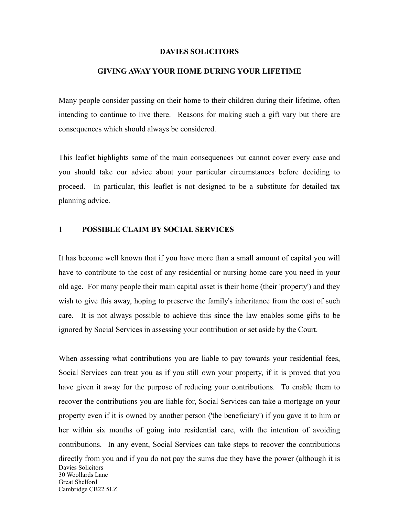#### **DAVIES SOLICITORS**

#### **GIVING AWAY YOUR HOME DURING YOUR LIFETIME**

Many people consider passing on their home to their children during their lifetime, often intending to continue to live there. Reasons for making such a gift vary but there are consequences which should always be considered.

This leaflet highlights some of the main consequences but cannot cover every case and you should take our advice about your particular circumstances before deciding to proceed. In particular, this leaflet is not designed to be a substitute for detailed tax planning advice.

## 1 **POSSIBLE CLAIM BY SOCIAL SERVICES**

It has become well known that if you have more than a small amount of capital you will have to contribute to the cost of any residential or nursing home care you need in your old age. For many people their main capital asset is their home (their 'property') and they wish to give this away, hoping to preserve the family's inheritance from the cost of such care. It is not always possible to achieve this since the law enables some gifts to be ignored by Social Services in assessing your contribution or set aside by the Court.

When assessing what contributions you are liable to pay towards your residential fees, Social Services can treat you as if you still own your property, if it is proved that you have given it away for the purpose of reducing your contributions. To enable them to recover the contributions you are liable for, Social Services can take a mortgage on your property even if it is owned by another person ('the beneficiary') if you gave it to him or her within six months of going into residential care, with the intention of avoiding contributions. In any event, Social Services can take steps to recover the contributions directly from you and if you do not pay the sums due they have the power (although it is Davies Solicitors 30 Woollards Lane Great Shelford Cambridge CB22 5LZ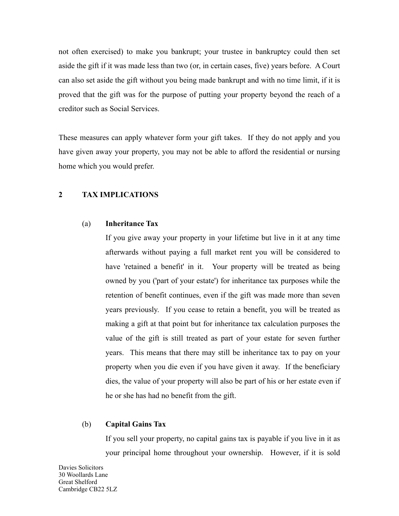not often exercised) to make you bankrupt; your trustee in bankruptcy could then set aside the gift if it was made less than two (or, in certain cases, five) years before. A Court can also set aside the gift without you being made bankrupt and with no time limit, if it is proved that the gift was for the purpose of putting your property beyond the reach of a creditor such as Social Services.

These measures can apply whatever form your gift takes. If they do not apply and you have given away your property, you may not be able to afford the residential or nursing home which you would prefer.

## **2 TAX IMPLICATIONS**

## (a) **Inheritance Tax**

If you give away your property in your lifetime but live in it at any time afterwards without paying a full market rent you will be considered to have 'retained a benefit' in it. Your property will be treated as being owned by you ('part of your estate') for inheritance tax purposes while the retention of benefit continues, even if the gift was made more than seven years previously. If you cease to retain a benefit, you will be treated as making a gift at that point but for inheritance tax calculation purposes the value of the gift is still treated as part of your estate for seven further years. This means that there may still be inheritance tax to pay on your property when you die even if you have given it away. If the beneficiary dies, the value of your property will also be part of his or her estate even if he or she has had no benefit from the gift.

#### (b) **Capital Gains Tax**

If you sell your property, no capital gains tax is payable if you live in it as your principal home throughout your ownership. However, if it is sold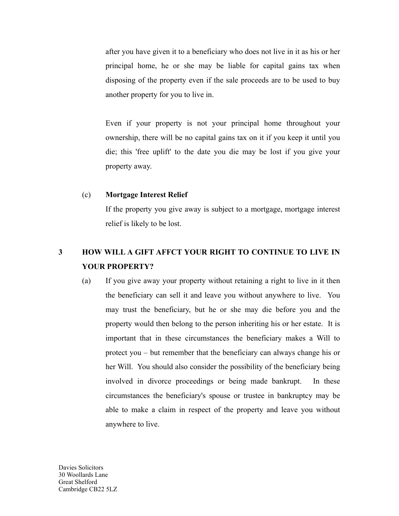after you have given it to a beneficiary who does not live in it as his or her principal home, he or she may be liable for capital gains tax when disposing of the property even if the sale proceeds are to be used to buy another property for you to live in.

Even if your property is not your principal home throughout your ownership, there will be no capital gains tax on it if you keep it until you die; this 'free uplift' to the date you die may be lost if you give your property away.

## (c) **Mortgage Interest Relief**

If the property you give away is subject to a mortgage, mortgage interest relief is likely to be lost.

## **3 HOW WILL A GIFT AFFCT YOUR RIGHT TO CONTINUE TO LIVE IN YOUR PROPERTY?**

(a) If you give away your property without retaining a right to live in it then the beneficiary can sell it and leave you without anywhere to live. You may trust the beneficiary, but he or she may die before you and the property would then belong to the person inheriting his or her estate. It is important that in these circumstances the beneficiary makes a Will to protect you – but remember that the beneficiary can always change his or her Will. You should also consider the possibility of the beneficiary being involved in divorce proceedings or being made bankrupt. In these circumstances the beneficiary's spouse or trustee in bankruptcy may be able to make a claim in respect of the property and leave you without anywhere to live.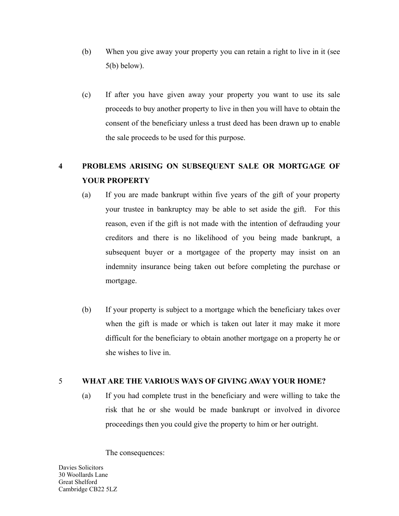- (b) When you give away your property you can retain a right to live in it (see 5(b) below).
- (c) If after you have given away your property you want to use its sale proceeds to buy another property to live in then you will have to obtain the consent of the beneficiary unless a trust deed has been drawn up to enable the sale proceeds to be used for this purpose.

# **4 PROBLEMS ARISING ON SUBSEQUENT SALE OR MORTGAGE OF YOUR PROPERTY**

- (a) If you are made bankrupt within five years of the gift of your property your trustee in bankruptcy may be able to set aside the gift. For this reason, even if the gift is not made with the intention of defrauding your creditors and there is no likelihood of you being made bankrupt, a subsequent buyer or a mortgagee of the property may insist on an indemnity insurance being taken out before completing the purchase or mortgage.
- (b) If your property is subject to a mortgage which the beneficiary takes over when the gift is made or which is taken out later it may make it more difficult for the beneficiary to obtain another mortgage on a property he or she wishes to live in.

## 5 **WHAT ARE THE VARIOUS WAYS OF GIVING AWAY YOUR HOME?**

(a) If you had complete trust in the beneficiary and were willing to take the risk that he or she would be made bankrupt or involved in divorce proceedings then you could give the property to him or her outright.

The consequences:

Davies Solicitors 30 Woollards Lane Great Shelford Cambridge CB22 5LZ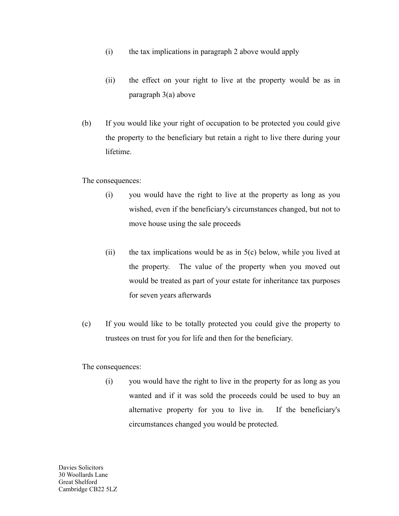- (i) the tax implications in paragraph 2 above would apply
- (ii) the effect on your right to live at the property would be as in paragraph 3(a) above
- (b) If you would like your right of occupation to be protected you could give the property to the beneficiary but retain a right to live there during your lifetime.

The consequences:

- (i) you would have the right to live at the property as long as you wished, even if the beneficiary's circumstances changed, but not to move house using the sale proceeds
- (ii) the tax implications would be as in  $5(c)$  below, while you lived at the property. The value of the property when you moved out would be treated as part of your estate for inheritance tax purposes for seven years afterwards
- (c) If you would like to be totally protected you could give the property to trustees on trust for you for life and then for the beneficiary.

The consequences:

(i) you would have the right to live in the property for as long as you wanted and if it was sold the proceeds could be used to buy an alternative property for you to live in. If the beneficiary's circumstances changed you would be protected.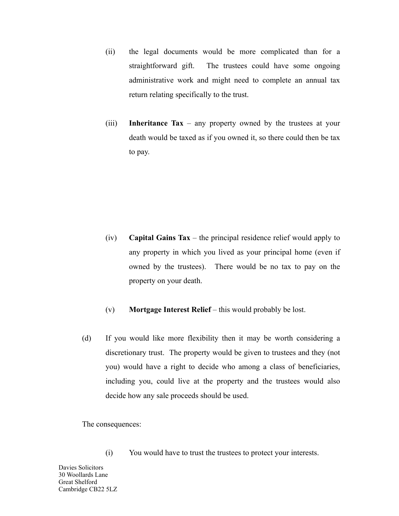- (ii) the legal documents would be more complicated than for a straightforward gift. The trustees could have some ongoing administrative work and might need to complete an annual tax return relating specifically to the trust.
- (iii) **Inheritance Tax** any property owned by the trustees at your death would be taxed as if you owned it, so there could then be tax to pay.

- (iv) **Capital Gains Tax** the principal residence relief would apply to any property in which you lived as your principal home (even if owned by the trustees). There would be no tax to pay on the property on your death.
- (v) **Mortgage Interest Relief** this would probably be lost.
- (d) If you would like more flexibility then it may be worth considering a discretionary trust. The property would be given to trustees and they (not you) would have a right to decide who among a class of beneficiaries, including you, could live at the property and the trustees would also decide how any sale proceeds should be used.

The consequences:

(i) You would have to trust the trustees to protect your interests.

Davies Solicitors 30 Woollards Lane Great Shelford Cambridge CB22 5LZ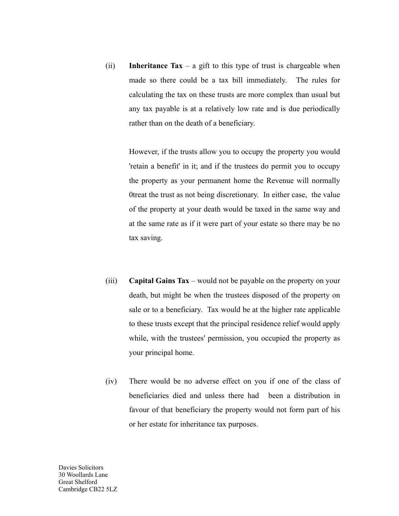(ii) **Inheritance Tax** – a gift to this type of trust is chargeable when made so there could be a tax bill immediately. The rules for calculating the tax on these trusts are more complex than usual but any tax payable is at a relatively low rate and is due periodically rather than on the death of a beneficiary.

> However, if the trusts allow you to occupy the property you would 'retain a benefit' in it; and if the trustees do permit you to occupy the property as your permanent home the Revenue will normally 0treat the trust as not being discretionary. In either case, the value of the property at your death would be taxed in the same way and at the same rate as if it were part of your estate so there may be no tax saving.

- (iii) **Capital Gains Tax** would not be payable on the property on your death, but might be when the trustees disposed of the property on sale or to a beneficiary. Tax would be at the higher rate applicable to these trusts except that the principal residence relief would apply while, with the trustees' permission, you occupied the property as your principal home.
- (iv) There would be no adverse effect on you if one of the class of beneficiaries died and unless there had been a distribution in favour of that beneficiary the property would not form part of his or her estate for inheritance tax purposes.